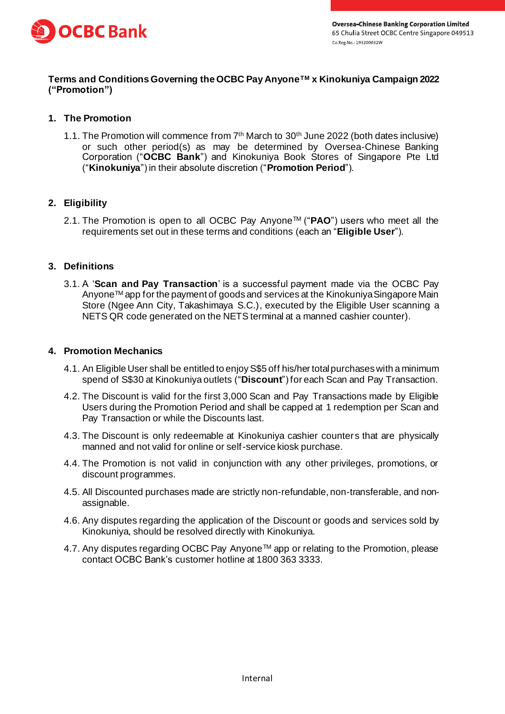

## **Terms and Conditions Governing the OCBC Pay AnyoneTM x Kinokuniya Campaign 2022 ("Promotion")**

# **1. The Promotion**

1.1. The Promotion will commence from 7<sup>th</sup> March to 30<sup>th</sup> June 2022 (both dates inclusive) or such other period(s) as may be determined by Oversea-Chinese Banking Corporation ("**OCBC Bank**") and Kinokuniya Book Stores of Singapore Pte Ltd ("**Kinokuniya**") in their absolute discretion ("**Promotion Period**").

# **2. Eligibility**

2.1. The Promotion is open to all OCBC Pay AnyoneTM ("**PAO**") users who meet all the requirements set out in these terms and conditions (each an "**Eligible User**").

### **3. Definitions**

3.1. A '**Scan and Pay Transaction**' is a successful payment made via the OCBC Pay AnyoneTM app for the payment of goods and services at the Kinokuniya Singapore Main Store (Ngee Ann City, Takashimaya S.C.), executed by the Eligible User scanning a NETS QR code generated on the NETS terminal at a manned cashier counter).

#### **4. Promotion Mechanics**

- 4.1. An Eligible User shall be entitled to enjoy S\$5 off his/her total purchases with a minimum spend of S\$30 at Kinokuniya outlets ("**Discount**") for each Scan and Pay Transaction.
- 4.2. The Discount is valid for the first 3,000 Scan and Pay Transactions made by Eligible Users during the Promotion Period and shall be capped at 1 redemption per Scan and Pay Transaction or while the Discounts last.
- 4.3. The Discount is only redeemable at Kinokuniya cashier counters that are physically manned and not valid for online or self-service kiosk purchase.
- 4.4. The Promotion is not valid in conjunction with any other privileges, promotions, or discount programmes.
- 4.5. All Discounted purchases made are strictly non-refundable, non-transferable, and nonassignable.
- 4.6. Any disputes regarding the application of the Discount or goods and services sold by Kinokuniya, should be resolved directly with Kinokuniya.
- 4.7. Any disputes regarding OCBC Pay Anyone™ app or relating to the Promotion, please contact OCBC Bank's customer hotline at 1800 363 3333.